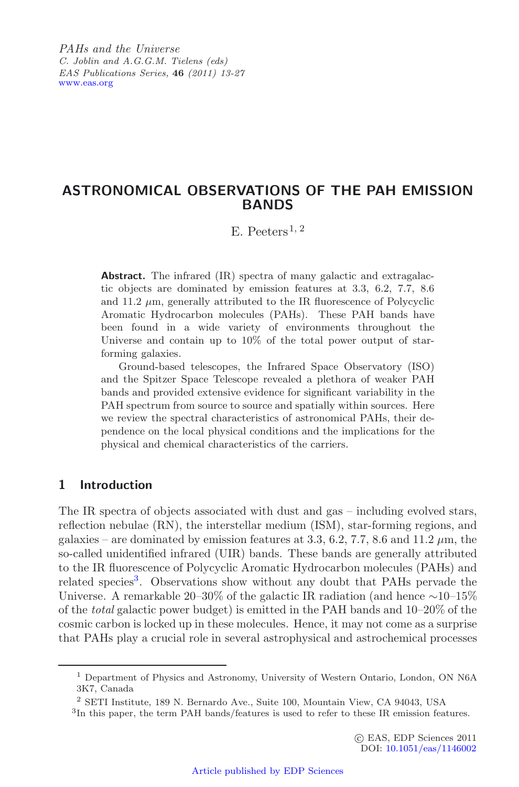*PAHs and the Universe C. Joblin and A.G.G.M. Tielens (eds) EAS Publications Series,* **46** *(2011) 13-27* [www.eas.org](http://www.eas.org)

# **ASTRONOMICAL OBSERVATIONS OF THE PAH EMISSION BANDS**

E. Peeters<sup>1, 2</sup>

**Abstract.** The infrared (IR) spectra of many galactic and extragalactic objects are dominated by emission features at 3.3, 6.2, 7.7, 8.6 and  $11.2 \mu$ m, generally attributed to the IR fluorescence of Polycyclic Aromatic Hydrocarbon molecules (PAHs). These PAH bands have been found in a wide variety of environments throughout the Universe and contain up to 10% of the total power output of starforming galaxies.

Ground-based telescopes, the Infrared Space Observatory (ISO) and the Spitzer Space Telescope revealed a plethora of weaker PAH bands and provided extensive evidence for significant variability in the PAH spectrum from source to source and spatially within sources. Here we review the spectral characteristics of astronomical PAHs, their dependence on the local physical conditions and the implications for the physical and chemical characteristics of the carriers.

### **1 Introduction**

<span id="page-0-0"></span>The IR spectra of objects associated with dust and gas – including evolved stars, reflection nebulae (RN), the interstellar medium (ISM), star-forming regions, and galaxies – are dominated by emission features at 3.3, 6.2, 7.7, 8.6 and 11.2  $\mu$ m, the so-called unidentified infrared (UIR) bands. These bands are generally attributed to the IR fluorescence of Polycyclic Aromatic Hydrocarbon molecules (PAHs) and related species<sup>[3](#page-0-0)</sup>. Observations show without any doubt that PAHs pervade the Universe. A remarkable 20–30% of the galactic IR radiation (and hence ∼10–15% of the *total* galactic power budget) is emitted in the PAH bands and 10–20% of the cosmic carbon is locked up in these molecules. Hence, it may not come as a surprise that PAHs play a crucial role in several astrophysical and astrochemical processes

<sup>1</sup> Department of Physics and Astronomy, University of Western Ontario, London, ON N6A 3K7, Canada

<sup>2</sup> SETI Institute, 189 N. Bernardo Ave., Suite 100, Mountain View, CA 94043, USA

<sup>3</sup>In this paper, the term PAH bands/features is used to refer to these IR emission features.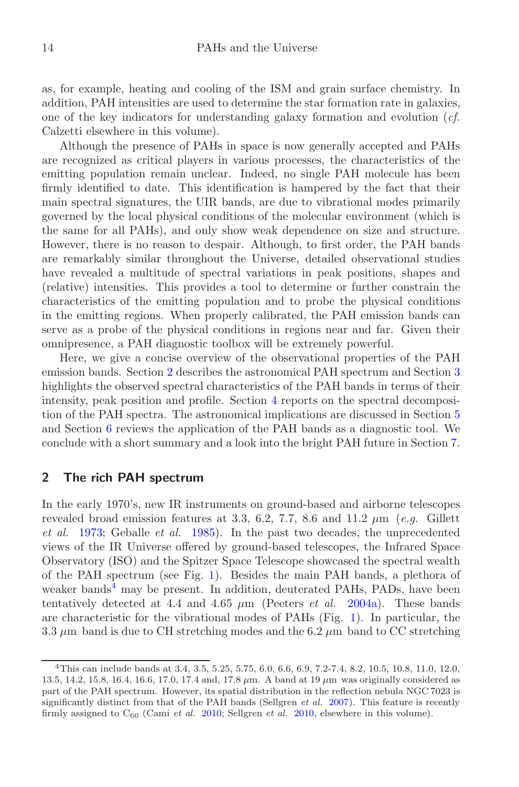as, for example, heating and cooling of the ISM and grain surface chemistry. In addition, PAH intensities are used to determine the star formation rate in galaxies, one of the key indicators for understanding galaxy formation and evolution (*cf.* Calzetti elsewhere in this volume).

Although the presence of PAHs in space is now generally accepted and PAHs are recognized as critical players in various processes, the characteristics of the emitting population remain unclear. Indeed, no single PAH molecule has been firmly identified to date. This identification is hampered by the fact that their main spectral signatures, the UIR bands, are due to vibrational modes primarily governed by the local physical conditions of the molecular environment (which is the same for all PAHs), and only show weak dependence on size and structure. However, there is no reason to despair. Although, to first order, the PAH bands are remarkably similar throughout the Universe, detailed observational studies have revealed a multitude of spectral variations in peak positions, shapes and (relative) intensities. This provides a tool to determine or further constrain the characteristics of the emitting population and to probe the physical conditions in the emitting regions. When properly calibrated, the PAH emission bands can serve as a probe of the physical conditions in regions near and far. Given their omnipresence, a PAH diagnostic toolbox will be extremely powerful.

Here, we give a concise overview of the observational properties of the PAH emission bands. Section [2](#page-1-0) describes the astronomical PAH spectrum and Section [3](#page-3-0) highlights the observed spectral characteristics of the PAH bands in terms of their intensity, peak position and profile. Section [4](#page-8-0) reports on the spectral decomposition of the PAH spectra. The astronomical implications are discussed in Section [5](#page-8-1) and Section [6](#page-11-0) reviews the application of the PAH bands as a diagnostic tool. We conclude with a short summary and a look into the bright PAH future in Section [7.](#page-11-1)

# <span id="page-1-0"></span>**2 The rich PAH spectrum**

<span id="page-1-1"></span>In the early 1970's, new IR instruments on ground-based and airborne telescopes revealed broad emission features at 3.3, 6.2, 7.7, 8.6 and 11.2  $\mu$ m (*e.g.* Gillett *et al.* [1973;](#page-13-0) Geballe *et al.* [1985](#page-13-1)). In the past two decades, the unprecedented views of the IR Universe offered by ground-based telescopes, the Infrared Space Observatory (ISO) and the Spitzer Space Telescope showcased the spectral wealth of the PAH spectrum (see Fig. [1\)](#page-2-0). Besides the main PAH bands, a plethora of weaker bands<sup>[4](#page-1-1)</sup> may be present. In addition, deuterated PAHs, PADs, have been tentatively detected at 4.4 and 4.65  $\mu$ m (Peeters *et al.* [2004a\)](#page-13-2). These bands are characteristic for the vibrational modes of PAHs (Fig. [1\)](#page-2-0). In particular, the 3.3  $\mu$ m band is due to CH stretching modes and the 6.2  $\mu$ m band to CC stretching

<sup>4</sup>This can include bands at 3.4, 3.5, 5.25, 5.75, 6.0, 6.6, 6.9, 7.2-7.4, 8.2, 10.5, 10.8, 11.0, 12.0, 13.5, 14.2, 15.8, 16.4, 16.6, 17.0, 17.4 and, 17.8 *µ*m. A band at 19 *µ*m was originally considered as part of the PAH spectrum. However, its spatial distribution in the reflection nebula NGC 7023 is significantly distinct from that of the PAH bands (Sellgren *et al.* [2007](#page-13-3)). This feature is recently firmly assigned to C<sup>60</sup> (Cami *et al.* [2010;](#page-12-0) Sellgren *et al.* [2010](#page-13-4), elsewhere in this volume).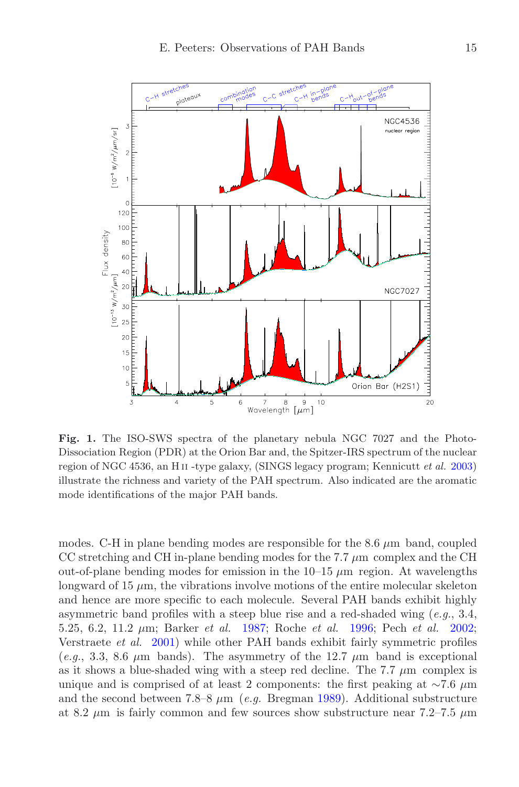

<span id="page-2-0"></span>**Fig. 1.** The ISO-SWS spectra of the planetary nebula NGC 7027 and the Photo-Dissociation Region (PDR) at the Orion Bar and, the Spitzer-IRS spectrum of the nuclear region of NGC 4536, an H ii -type galaxy, (SINGS legacy program; Kennicutt *et al.* [2003](#page-13-5)) illustrate the richness and variety of the PAH spectrum. Also indicated are the aromatic mode identifications of the major PAH bands.

modes. C-H in plane bending modes are responsible for the 8.6 *µ*m band, coupled CC stretching and CH in-plane bending modes for the 7.7  $\mu$ m complex and the CH out-of-plane bending modes for emission in the  $10-15 \mu m$  region. At wavelengths longward of 15  $\mu$ m, the vibrations involve motions of the entire molecular skeleton and hence are more specific to each molecule. Several PAH bands exhibit highly asymmetric band profiles with a steep blue rise and a red-shaded wing (*e.g.*, 3.4, 5.25, 6.2, 11.2 *µ*m; Barker *et al.* [1987](#page-12-1); Roche *et al.* [1996](#page-13-6); Pech *et al.* [2002](#page-13-7); Verstraete *et al.* [2001](#page-14-0)) while other PAH bands exhibit fairly symmetric profiles (*e.g.*, 3.3, 8.6  $\mu$ m bands). The asymmetry of the 12.7  $\mu$ m band is exceptional as it shows a blue-shaded wing with a steep red decline. The  $7.7 \mu m$  complex is unique and is comprised of at least 2 components: the first peaking at ∼7.6 *µ*m and the second between 7.8–8 *µ*m (*e.g.* Bregman [1989\)](#page-12-2). Additional substructure at 8.2  $\mu$ m is fairly common and few sources show substructure near 7.2–7.5  $\mu$ m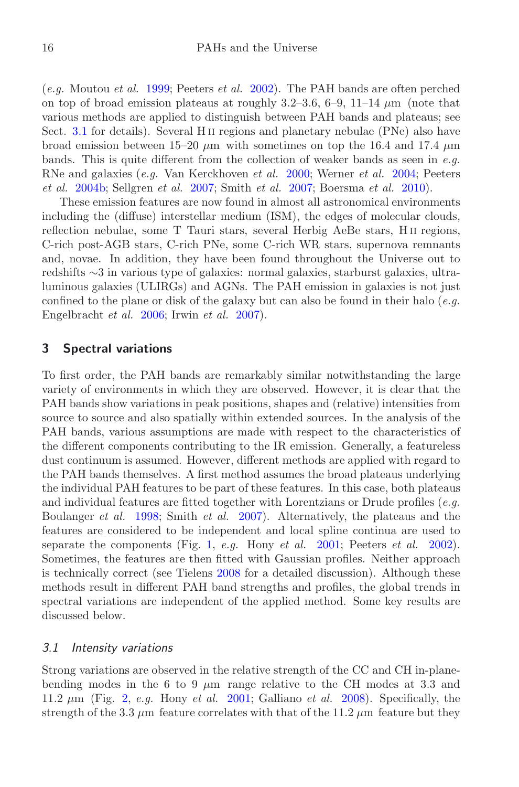(*e.g.* Moutou *et al.* [1999;](#page-13-8) Peeters *et al.* [2002\)](#page-13-7). The PAH bands are often perched on top of broad emission plateaus at roughly  $3.2-3.6, 6-9, 11-14 \mu m$  (note that various methods are applied to distinguish between PAH bands and plateaus; see Sect. [3.1](#page-3-1) for details). Several H<sub>II</sub> regions and planetary nebulae (PNe) also have broad emission between  $15-20 \mu m$  with sometimes on top the 16.4 and 17.4  $\mu m$ bands. This is quite different from the collection of weaker bands as seen in *e.g.* RNe and galaxies (*e.g.* Van Kerckhoven *et al.* [2000](#page-13-9); Werner *et al.* [2004](#page-14-1); Peeters *et al.* [2004b](#page-13-10); Sellgren *et al.* [2007](#page-13-3); Smith *et al.* [2007;](#page-13-11) Boersma *et al.* [2010](#page-12-3)).

These emission features are now found in almost all astronomical environments including the (diffuse) interstellar medium (ISM), the edges of molecular clouds, reflection nebulae, some T Tauri stars, several Herbig AeBe stars, H ii regions, C-rich post-AGB stars, C-rich PNe, some C-rich WR stars, supernova remnants and, novae. In addition, they have been found throughout the Universe out to redshifts ∼3 in various type of galaxies: normal galaxies, starburst galaxies, ultraluminous galaxies (ULIRGs) and AGNs. The PAH emission in galaxies is not just confined to the plane or disk of the galaxy but can also be found in their halo (*e.g.* Engelbracht *et al.* [2006](#page-12-4); Irwin *et al.* [2007\)](#page-13-12).

# <span id="page-3-0"></span>**3 Spectral variations**

To first order, the PAH bands are remarkably similar notwithstanding the large variety of environments in which they are observed. However, it is clear that the PAH bands show variations in peak positions, shapes and (relative) intensities from source to source and also spatially within extended sources. In the analysis of the PAH bands, various assumptions are made with respect to the characteristics of the different components contributing to the IR emission. Generally, a featureless dust continuum is assumed. However, different methods are applied with regard to the PAH bands themselves. A first method assumes the broad plateaus underlying the individual PAH features to be part of these features. In this case, both plateaus and individual features are fitted together with Lorentzians or Drude profiles (*e.g.* Boulanger *et al.* [1998;](#page-12-5) Smith *et al.* [2007](#page-13-11)). Alternatively, the plateaus and the features are considered to be independent and local spline continua are used to separate the components (Fig. [1,](#page-2-0) *e.g.* Hony *et al.* [2001;](#page-13-13) Peeters *et al.* [2002](#page-13-7)). Sometimes, the features are then fitted with Gaussian profiles. Neither approach is technically correct (see Tielens [2008](#page-13-14) for a detailed discussion). Although these methods result in different PAH band strengths and profiles, the global trends in spectral variations are independent of the applied method. Some key results are discussed below.

#### <span id="page-3-1"></span>*3.1 Intensity variations*

Strong variations are observed in the relative strength of the CC and CH in-planebending modes in the 6 to 9  $\mu$ m range relative to the CH modes at 3.3 and 11.2 *µ*m (Fig. [2,](#page-4-0) *e.g.* Hony *et al.* [2001;](#page-13-13) Galliano *et al.* [2008](#page-13-15)). Specifically, the strength of the 3.3  $\mu$ m feature correlates with that of the 11.2  $\mu$ m feature but they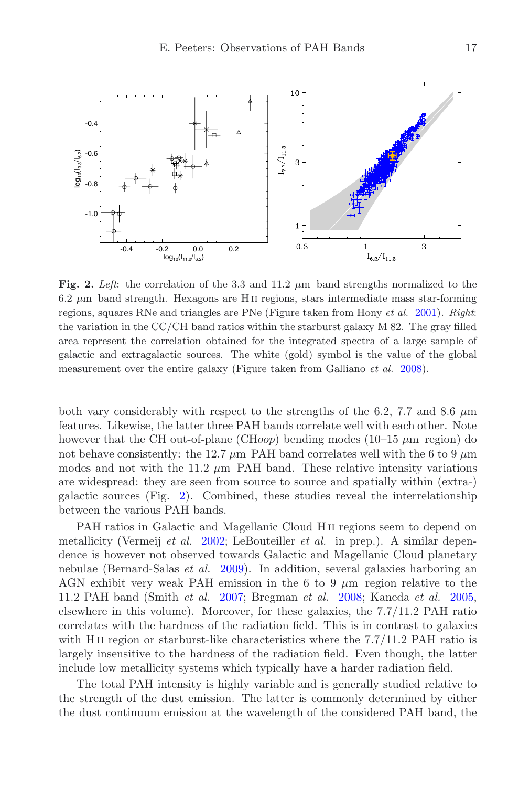<span id="page-4-0"></span>

**Fig. 2.** *Left*: the correlation of the 3.3 and 11.2 *<sup>µ</sup>*m band strengths normalized to the 6.2 *µ*m band strength. Hexagons are H ii regions, stars intermediate mass star-forming regions, squares RNe and triangles are PNe (Figure taken from Hony *et al.* [2001](#page-13-13)). *Right*: the variation in the CC/CH band ratios within the starburst galaxy M 82. The gray filled area represent the correlation obtained for the integrated spectra of a large sample of galactic and extragalactic sources. The white (gold) symbol is the value of the global measurement over the entire galaxy (Figure taken from Galliano *et al.* [2008](#page-13-15)).

both vary considerably with respect to the strengths of the 6.2, 7.7 and 8.6  $\mu$ m features. Likewise, the latter three PAH bands correlate well with each other. Note however that the CH out-of-plane (CH*oop*) bending modes (10–15 *µ*m region) do not behave consistently: the 12.7  $\mu$ m PAH band correlates well with the 6 to 9  $\mu$ m modes and not with the 11.2  $\mu$ m PAH band. These relative intensity variations are widespread: they are seen from source to source and spatially within (extra-) galactic sources (Fig. [2\)](#page-4-0). Combined, these studies reveal the interrelationship between the various PAH bands.

PAH ratios in Galactic and Magellanic Cloud H<sub>II</sub> regions seem to depend on metallicity (Vermeij *et al.* [2002;](#page-14-2) LeBouteiller *et al.* in prep.). A similar dependence is however not observed towards Galactic and Magellanic Cloud planetary nebulae (Bernard-Salas *et al.* [2009\)](#page-12-6). In addition, several galaxies harboring an AGN exhibit very weak PAH emission in the 6 to 9 *µ*m region relative to the 11.2 PAH band (Smith *et al.* [2007;](#page-13-11) Bregman *et al.* [2008;](#page-12-7) Kaneda *et al.* [2005](#page-13-16), elsewhere in this volume). Moreover, for these galaxies, the 7.7/11.2 PAH ratio correlates with the hardness of the radiation field. This is in contrast to galaxies with H<sub>II</sub> region or starburst-like characteristics where the  $7.7/11.2$  PAH ratio is largely insensitive to the hardness of the radiation field. Even though, the latter include low metallicity systems which typically have a harder radiation field.

The total PAH intensity is highly variable and is generally studied relative to the strength of the dust emission. The latter is commonly determined by either the dust continuum emission at the wavelength of the considered PAH band, the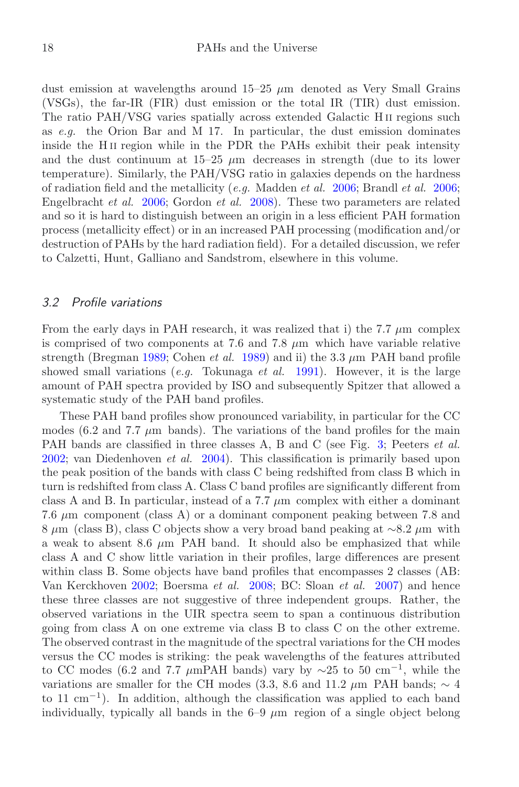dust emission at wavelengths around 15–25 *µ*m denoted as Very Small Grains (VSGs), the far-IR (FIR) dust emission or the total IR (TIR) dust emission. The ratio PAH/VSG varies spatially across extended Galactic H ii regions such as *e.g.* the Orion Bar and M 17. In particular, the dust emission dominates inside the H ii region while in the PDR the PAHs exhibit their peak intensity and the dust continuum at  $15-25 \mu m$  decreases in strength (due to its lower temperature). Similarly, the PAH/VSG ratio in galaxies depends on the hardness of radiation field and the metallicity (*e.g.* Madden *et al.* [2006;](#page-13-17) Brandl *et al.* [2006](#page-12-8); Engelbracht *et al.* [2006](#page-12-4); Gordon *et al.* [2008\)](#page-13-18). These two parameters are related and so it is hard to distinguish between an origin in a less efficient PAH formation process (metallicity effect) or in an increased PAH processing (modification and/or destruction of PAHs by the hard radiation field). For a detailed discussion, we refer to Calzetti, Hunt, Galliano and Sandstrom, elsewhere in this volume.

#### *3.2 Profile variations*

From the early days in PAH research, it was realized that i) the 7.7 *µ*m complex is comprised of two components at 7.6 and 7.8 *µ*m which have variable relative strength (Bregman [1989;](#page-12-2) Cohen *et al.* [1989\)](#page-12-9) and ii) the 3.3 *µ*m PAH band profile showed small variations (*e.g.* Tokunaga *et al.* [1991\)](#page-13-19). However, it is the large amount of PAH spectra provided by ISO and subsequently Spitzer that allowed a systematic study of the PAH band profiles.

These PAH band profiles show pronounced variability, in particular for the CC modes (6.2 and 7.7  $\mu$ m bands). The variations of the band profiles for the main PAH bands are classified in three classes A, B and C (see Fig. [3;](#page-6-0) Peeters *et al.* [2002;](#page-13-20) van Diedenhoven *et al.* [2004\)](#page-13-21). This classification is primarily based upon the peak position of the bands with class C being redshifted from class B which in turn is redshifted from class A. Class C band profiles are significantly different from class A and B. In particular, instead of a  $7.7 \mu$ m complex with either a dominant 7.6 *µ*m component (class A) or a dominant component peaking between 7.8 and 8 *µ*m (class B), class C objects show a very broad band peaking at ∼8.2 *µ*m with a weak to absent 8.6  $\mu$ m PAH band. It should also be emphasized that while class A and C show little variation in their profiles, large differences are present within class B. Some objects have band profiles that encompasses 2 classes (AB: Van Kerckhoven [2002](#page-13-22); Boersma *et al.* [2008;](#page-12-10) BC: Sloan *et al.* [2007\)](#page-13-23) and hence these three classes are not suggestive of three independent groups. Rather, the observed variations in the UIR spectra seem to span a continuous distribution going from class A on one extreme via class B to class C on the other extreme. The observed contrast in the magnitude of the spectral variations for the CH modes versus the CC modes is striking: the peak wavelengths of the features attributed to CC modes (6.2 and 7.7 *<sup>µ</sup>*mPAH bands) vary by <sup>∼</sup>25 to 50 cm*−*<sup>1</sup>, while the variations are smaller for the CH modes (3.3, 8.6 and 11.2 *µ*m PAH bands; ∼ 4 to 11 cm*−*<sup>1</sup>). In addition, although the classification was applied to each band individually, typically all bands in the 6–9 *µ*m region of a single object belong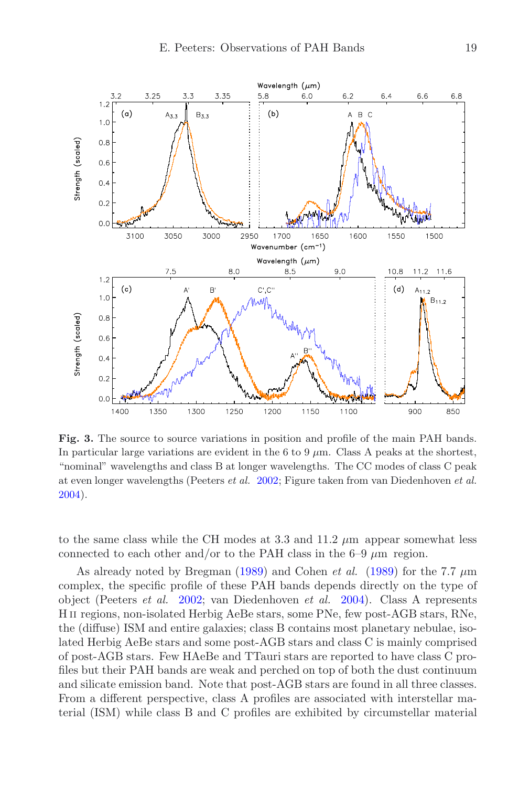

<span id="page-6-0"></span>**Fig. 3.** The source to source variations in position and profile of the main PAH bands. In particular large variations are evident in the 6 to 9  $\mu$ m. Class A peaks at the shortest, "nominal" wavelengths and class B at longer wavelengths. The CC modes of class C peak at even longer wavelengths (Peeters *et al.* [2002;](#page-13-20) Figure taken from van Diedenhoven *et al.* [2004](#page-13-21)).

to the same class while the CH modes at 3.3 and 11.2 *µ*m appear somewhat less connected to each other and/or to the PAH class in the  $6-9 \mu m$  region.

As already noted by Bregman [\(1989](#page-12-2)) and Cohen *et al.* [\(1989\)](#page-12-9) for the 7.7 *µ*m complex, the specific profile of these PAH bands depends directly on the type of object (Peeters *et al.* [2002](#page-13-20); van Diedenhoven *et al.* [2004\)](#page-13-21). Class A represents H ii regions, non-isolated Herbig AeBe stars, some PNe, few post-AGB stars, RNe, the (diffuse) ISM and entire galaxies; class B contains most planetary nebulae, isolated Herbig AeBe stars and some post-AGB stars and class C is mainly comprised of post-AGB stars. Few HAeBe and TTauri stars are reported to have class C profiles but their PAH bands are weak and perched on top of both the dust continuum and silicate emission band. Note that post-AGB stars are found in all three classes. From a different perspective, class A profiles are associated with interstellar material (ISM) while class B and C profiles are exhibited by circumstellar material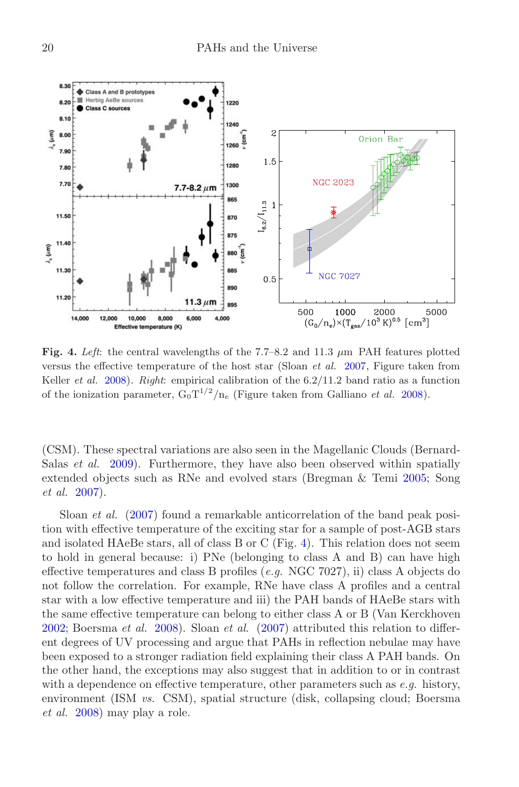<span id="page-7-0"></span>

**Fig. 4.** *Left*: the central wavelengths of the 7.7–8.2 and 11.3 *<sup>µ</sup>*m PAH features plotted versus the effective temperature of the host star (Sloan *et al.* [2007](#page-13-23), Figure taken from Keller *et al.* [2008\)](#page-13-24). *Right*: empirical calibration of the 6.2/11.2 band ratio as a function of the ionization parameter,  $G_0T^{1/2}/n_e$  (Figure taken from Galliano *et al.* [2008](#page-13-15)).

(CSM). These spectral variations are also seen in the Magellanic Clouds (Bernard-Salas *et al.* [2009\)](#page-12-6). Furthermore, they have also been observed within spatially extended objects such as RNe and evolved stars (Bregman & Temi [2005;](#page-12-11) Song *et al.* [2007\)](#page-13-25).

Sloan *et al.* [\(2007\)](#page-13-23) found a remarkable anticorrelation of the band peak position with effective temperature of the exciting star for a sample of post-AGB stars and isolated HAeBe stars, all of class B or C (Fig. [4\)](#page-7-0). This relation does not seem to hold in general because: i) PNe (belonging to class A and B) can have high effective temperatures and class B profiles (*e.g.* NGC 7027), ii) class A objects do not follow the correlation. For example, RNe have class A profiles and a central star with a low effective temperature and iii) the PAH bands of HAeBe stars with the same effective temperature can belong to either class A or B (Van Kerckhoven [2002;](#page-13-22) Boersma *et al.* [2008\)](#page-12-10). Sloan *et al.* [\(2007](#page-13-23)) attributed this relation to different degrees of UV processing and argue that PAHs in reflection nebulae may have been exposed to a stronger radiation field explaining their class A PAH bands. On the other hand, the exceptions may also suggest that in addition to or in contrast with a dependence on effective temperature, other parameters such as *e.g.* history, environment (ISM *vs.* CSM), spatial structure (disk, collapsing cloud; Boersma *et al.* [2008\)](#page-12-10) may play a role.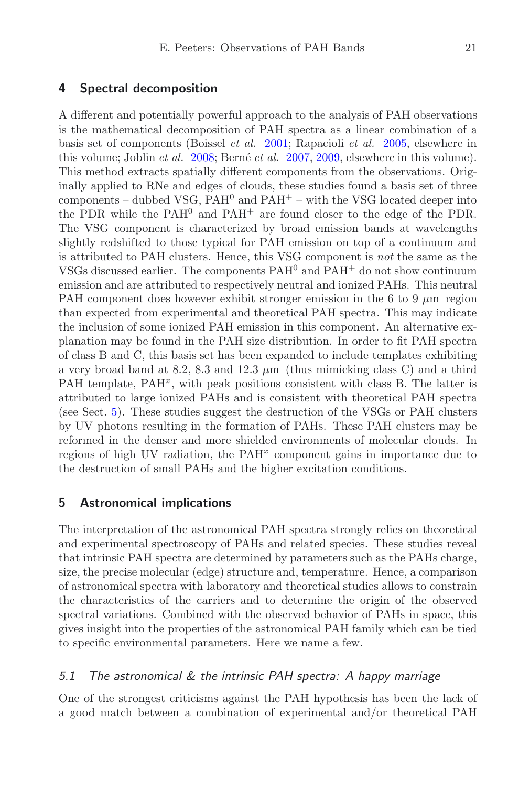### <span id="page-8-0"></span>**4 Spectral decomposition**

A different and potentially powerful approach to the analysis of PAH observations is the mathematical decomposition of PAH spectra as a linear combination of a basis set of components (Boissel *et al.* [2001](#page-12-12); Rapacioli *et al.* [2005,](#page-13-26) elsewhere in this volume; Joblin *et al.* [2008;](#page-13-27) Berné *et al.* [2007](#page-12-13), [2009,](#page-12-14) elsewhere in this volume). This method extracts spatially different components from the observations. Originally applied to RNe and edges of clouds, these studies found a basis set of three components – dubbed VSG,  $PAH^0$  and  $PAH^+$  – with the VSG located deeper into the PDR while the  $PAH^0$  and  $PAH^+$  are found closer to the edge of the PDR. The VSG component is characterized by broad emission bands at wavelengths slightly redshifted to those typical for PAH emission on top of a continuum and is attributed to PAH clusters. Hence, this VSG component is *not* the same as the VSGs discussed earlier. The components  $PAH^0$  and  $PAH^+$  do not show continuum emission and are attributed to respectively neutral and ionized PAHs. This neutral PAH component does however exhibit stronger emission in the 6 to 9 *µ*m region than expected from experimental and theoretical PAH spectra. This may indicate the inclusion of some ionized PAH emission in this component. An alternative explanation may be found in the PAH size distribution. In order to fit PAH spectra of class B and C, this basis set has been expanded to include templates exhibiting a very broad band at 8.2, 8.3 and 12.3 *µ*m (thus mimicking class C) and a third PAH template, PAH<sup>x</sup>, with peak positions consistent with class B. The latter is attributed to large ionized PAHs and is consistent with theoretical PAH spectra (see Sect. [5\)](#page-8-1). These studies suggest the destruction of the VSGs or PAH clusters by UV photons resulting in the formation of PAHs. These PAH clusters may be reformed in the denser and more shielded environments of molecular clouds. In regions of high UV radiation, the PAH*<sup>x</sup>* component gains in importance due to the destruction of small PAHs and the higher excitation conditions.

### <span id="page-8-1"></span>**5 Astronomical implications**

The interpretation of the astronomical PAH spectra strongly relies on theoretical and experimental spectroscopy of PAHs and related species. These studies reveal that intrinsic PAH spectra are determined by parameters such as the PAHs charge, size, the precise molecular (edge) structure and, temperature. Hence, a comparison of astronomical spectra with laboratory and theoretical studies allows to constrain the characteristics of the carriers and to determine the origin of the observed spectral variations. Combined with the observed behavior of PAHs in space, this gives insight into the properties of the astronomical PAH family which can be tied to specific environmental parameters. Here we name a few.

# *5.1 The astronomical & the intrinsic PAH spectra: A happy marriage*

One of the strongest criticisms against the PAH hypothesis has been the lack of a good match between a combination of experimental and/or theoretical PAH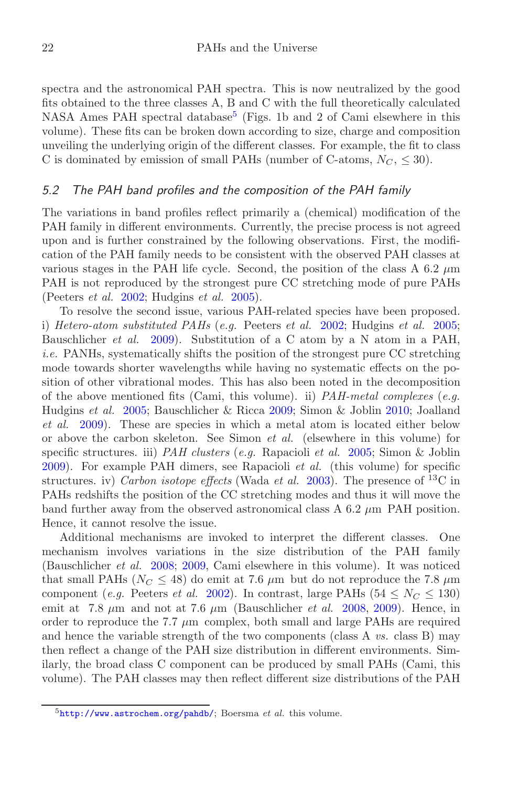spectra and the astronomical PAH spectra. This is now neutralized by the good fits obtained to the three classes A, B and C with the full theoretically calculated NASA Ames PAH spectral database<sup>[5](#page-9-0)</sup> (Figs. 1b and 2 of Cami elsewhere in this volume). These fits can be broken down according to size, charge and composition unveiling the underlying origin of the different classes. For example, the fit to class C is dominated by emission of small PAHs (number of C-atoms,  $N_C$ ,  $\leq 30$ ).

#### *5.2 The PAH band profiles and the composition of the PAH family*

The variations in band profiles reflect primarily a (chemical) modification of the PAH family in different environments. Currently, the precise process is not agreed upon and is further constrained by the following observations. First, the modification of the PAH family needs to be consistent with the observed PAH classes at various stages in the PAH life cycle. Second, the position of the class A 6.2 *µ*m PAH is not reproduced by the strongest pure CC stretching mode of pure PAHs (Peeters *et al.* [2002;](#page-13-20) Hudgins *et al.* [2005\)](#page-13-28).

To resolve the second issue, various PAH-related species have been proposed. i) *Hetero-atom substituted PAHs* (*e.g.* Peeters *et al.* [2002;](#page-13-20) Hudgins *et al.* [2005](#page-13-28); Bauschlicher *et al.* [2009\)](#page-12-15). Substitution of a C atom by a N atom in a PAH, *i.e.* PANHs, systematically shifts the position of the strongest pure CC stretching mode towards shorter wavelengths while having no systematic effects on the position of other vibrational modes. This has also been noted in the decomposition of the above mentioned fits (Cami, this volume). ii) *PAH-metal complexes* (*e.g.* Hudgins *et al.* [2005](#page-13-28); Bauschlicher & Ricca [2009;](#page-12-16) Simon & Joblin [2010;](#page-13-29) Joalland *et al.* [2009\)](#page-13-30). These are species in which a metal atom is located either below or above the carbon skeleton. See Simon *et al.* (elsewhere in this volume) for specific structures. iii) *PAH clusters* (*e.g.* Rapacioli *et al.* [2005;](#page-13-26) Simon & Joblin [2009\)](#page-13-31). For example PAH dimers, see Rapacioli *et al.* (this volume) for specific structures. iv) *Carbon isotope effects* (Wada *et al.* [2003\)](#page-14-3). The presence of <sup>13</sup>C in PAHs redshifts the position of the CC stretching modes and thus it will move the band further away from the observed astronomical class A 6.2 *µ*m PAH position. Hence, it cannot resolve the issue.

<span id="page-9-0"></span>Additional mechanisms are invoked to interpret the different classes. One mechanism involves variations in the size distribution of the PAH family (Bauschlicher *et al.* [2008;](#page-12-17) [2009](#page-12-15), Cami elsewhere in this volume). It was noticed that small PAHs ( $N_C \leq 48$ ) do emit at 7.6  $\mu$ m but do not reproduce the 7.8  $\mu$ m component (*e.g.* Peeters *et al.* [2002\)](#page-13-20). In contrast, large PAHs ( $54 \leq N_C \leq 130$ ) emit at  $7.8 \mu m$  and not at  $7.6 \mu m$  (Bauschlicher *et al.* [2008,](#page-12-17) [2009\)](#page-12-15). Hence, in order to reproduce the 7.7  $\mu$ m complex, both small and large PAHs are required and hence the variable strength of the two components (class A *vs.* class B) may then reflect a change of the PAH size distribution in different environments. Similarly, the broad class C component can be produced by small PAHs (Cami, this volume). The PAH classes may then reflect different size distributions of the PAH

<sup>5</sup><http://www.astrochem.org/pahdb/>; Boersma *et al.* this volume.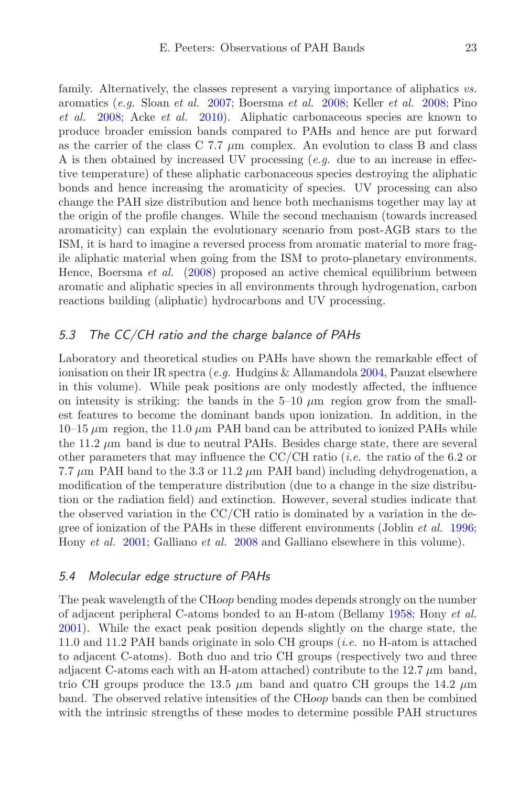family. Alternatively, the classes represent a varying importance of aliphatics *vs.* aromatics (*e.g.* Sloan *et al.* [2007;](#page-13-23) Boersma *et al.* [2008;](#page-12-10) Keller *et al.* [2008;](#page-13-24) Pino *et al.* [2008;](#page-13-32) Acke *et al.* [2010\)](#page-12-18). Aliphatic carbonaceous species are known to produce broader emission bands compared to PAHs and hence are put forward as the carrier of the class C 7.7 *µ*m complex. An evolution to class B and class A is then obtained by increased UV processing (*e.g.* due to an increase in effective temperature) of these aliphatic carbonaceous species destroying the aliphatic bonds and hence increasing the aromaticity of species. UV processing can also change the PAH size distribution and hence both mechanisms together may lay at the origin of the profile changes. While the second mechanism (towards increased aromaticity) can explain the evolutionary scenario from post-AGB stars to the ISM, it is hard to imagine a reversed process from aromatic material to more fragile aliphatic material when going from the ISM to proto-planetary environments. Hence, Boersma *et al.* [\(2008](#page-12-10)) proposed an active chemical equilibrium between aromatic and aliphatic species in all environments through hydrogenation, carbon reactions building (aliphatic) hydrocarbons and UV processing.

### *5.3 The CC/CH ratio and the charge balance of PAHs*

Laboratory and theoretical studies on PAHs have shown the remarkable effect of ionisation on their IR spectra (*e.g.* Hudgins & Allamandola [2004](#page-13-33), Pauzat elsewhere in this volume). While peak positions are only modestly affected, the influence on intensity is striking: the bands in the  $5-10 \mu m$  region grow from the smallest features to become the dominant bands upon ionization. In addition, in the  $10-15 \mu m$  region, the 11.0  $\mu$ m PAH band can be attributed to ionized PAHs while the 11.2 *µ*m band is due to neutral PAHs. Besides charge state, there are several other parameters that may influence the CC/CH ratio (*i.e.* the ratio of the 6.2 or 7.7  $\mu$ m PAH band to the 3.3 or 11.2  $\mu$ m PAH band) including dehydrogenation, a modification of the temperature distribution (due to a change in the size distribution or the radiation field) and extinction. However, several studies indicate that the observed variation in the CC/CH ratio is dominated by a variation in the degree of ionization of the PAHs in these different environments (Joblin *et al.* [1996](#page-13-34); Hony *et al.* [2001](#page-13-13); Galliano *et al.* [2008](#page-13-15) and Galliano elsewhere in this volume).

### *5.4 Molecular edge structure of PAHs*

The peak wavelength of the CH*oop* bending modes depends strongly on the number of adjacent peripheral C-atoms bonded to an H-atom (Bellamy [1958](#page-12-19); Hony *et al.* [2001\)](#page-13-13). While the exact peak position depends slightly on the charge state, the 11.0 and 11.2 PAH bands originate in solo CH groups (*i.e.* no H-atom is attached to adjacent C-atoms). Both duo and trio CH groups (respectively two and three adjacent C-atoms each with an H-atom attached) contribute to the  $12.7 \mu m$  band, trio CH groups produce the 13.5 *µ*m band and quatro CH groups the 14.2 *µ*m band. The observed relative intensities of the CH*oop* bands can then be combined with the intrinsic strengths of these modes to determine possible PAH structures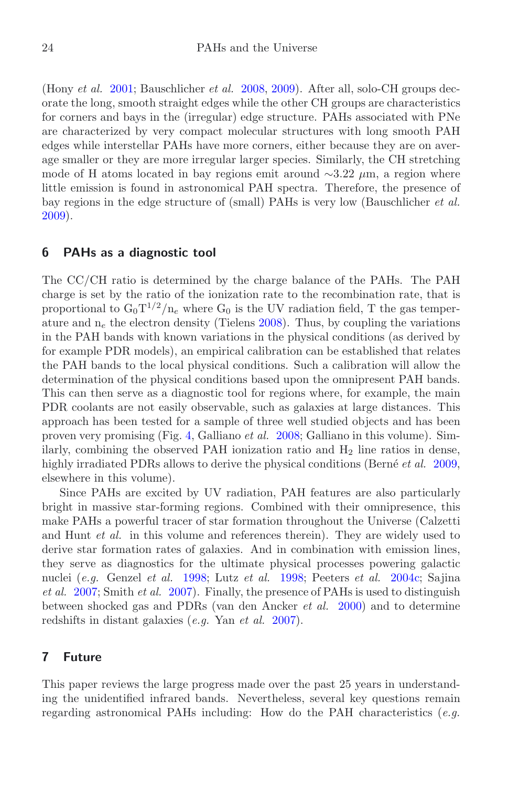(Hony *et al.* [2001;](#page-13-13) Bauschlicher *et al.* [2008](#page-12-17), [2009\)](#page-12-15). After all, solo-CH groups decorate the long, smooth straight edges while the other CH groups are characteristics for corners and bays in the (irregular) edge structure. PAHs associated with PNe are characterized by very compact molecular structures with long smooth PAH edges while interstellar PAHs have more corners, either because they are on average smaller or they are more irregular larger species. Similarly, the CH stretching mode of H atoms located in bay regions emit around ∼3.22 *µ*m, a region where little emission is found in astronomical PAH spectra. Therefore, the presence of bay regions in the edge structure of (small) PAHs is very low (Bauschlicher *et al.* [2009\)](#page-12-15).

### <span id="page-11-0"></span>**6 PAHs as a diagnostic tool**

The CC/CH ratio is determined by the charge balance of the PAHs. The PAH charge is set by the ratio of the ionization rate to the recombination rate, that is proportional to  $G_0T^{1/2}/n_e$  where  $G_0$  is the UV radiation field, T the gas temperature and  $n_e$  the electron density (Tielens [2008\)](#page-13-14). Thus, by coupling the variations in the PAH bands with known variations in the physical conditions (as derived by for example PDR models), an empirical calibration can be established that relates the PAH bands to the local physical conditions. Such a calibration will allow the determination of the physical conditions based upon the omnipresent PAH bands. This can then serve as a diagnostic tool for regions where, for example, the main PDR coolants are not easily observable, such as galaxies at large distances. This approach has been tested for a sample of three well studied objects and has been proven very promising (Fig. [4,](#page-7-0) Galliano *et al.* [2008;](#page-13-15) Galliano in this volume). Similarly, combining the observed PAH ionization ratio and  $H_2$  line ratios in dense, highly irradiated PDRs allows to derive the physical conditions (Berné *et al.* [2009](#page-12-14), elsewhere in this volume).

Since PAHs are excited by UV radiation, PAH features are also particularly bright in massive star-forming regions. Combined with their omnipresence, this make PAHs a powerful tracer of star formation throughout the Universe (Calzetti and Hunt *et al.* in this volume and references therein). They are widely used to derive star formation rates of galaxies. And in combination with emission lines, they serve as diagnostics for the ultimate physical processes powering galactic nuclei (*e.g.* Genzel *et al.* [1998;](#page-13-35) Lutz *et al.* [1998](#page-13-36); Peeters *et al.* [2004c;](#page-13-37) Sajina *et al.* [2007;](#page-13-38) Smith *et al.* [2007\)](#page-13-11). Finally, the presence of PAHs is used to distinguish between shocked gas and PDRs (van den Ancker *et al.* [2000\)](#page-13-9) and to determine redshifts in distant galaxies (*e.g.* Yan *et al.* [2007\)](#page-14-4).

# <span id="page-11-1"></span>**7 Future**

This paper reviews the large progress made over the past 25 years in understanding the unidentified infrared bands. Nevertheless, several key questions remain regarding astronomical PAHs including: How do the PAH characteristics (*e.g.*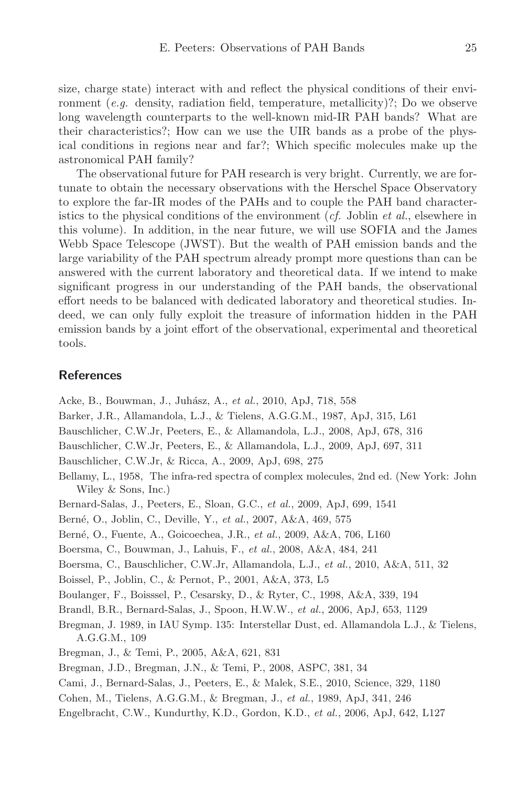size, charge state) interact with and reflect the physical conditions of their environment (*e.g.* density, radiation field, temperature, metallicity)?; Do we observe long wavelength counterparts to the well-known mid-IR PAH bands? What are their characteristics?; How can we use the UIR bands as a probe of the physical conditions in regions near and far?; Which specific molecules make up the

The observational future for PAH research is very bright. Currently, we are fortunate to obtain the necessary observations with the Herschel Space Observatory to explore the far-IR modes of the PAHs and to couple the PAH band characteristics to the physical conditions of the environment (*cf.* Joblin *et al.*, elsewhere in this volume). In addition, in the near future, we will use SOFIA and the James Webb Space Telescope (JWST). But the wealth of PAH emission bands and the large variability of the PAH spectrum already prompt more questions than can be answered with the current laboratory and theoretical data. If we intend to make significant progress in our understanding of the PAH bands, the observational effort needs to be balanced with dedicated laboratory and theoretical studies. Indeed, we can only fully exploit the treasure of information hidden in the PAH emission bands by a joint effort of the observational, experimental and theoretical tools.

### **References**

astronomical PAH family?

- <span id="page-12-18"></span>Acke, B., Bouwman, J., Juh´asz, A., *et al.*, 2010, ApJ, 718, 558
- <span id="page-12-1"></span>Barker, J.R., Allamandola, L.J., & Tielens, A.G.G.M., 1987, ApJ, 315, L61
- <span id="page-12-17"></span>Bauschlicher, C.W.Jr, Peeters, E., & Allamandola, L.J., 2008, ApJ, 678, 316
- <span id="page-12-15"></span>Bauschlicher, C.W.Jr, Peeters, E., & Allamandola, L.J., 2009, ApJ, 697, 311
- <span id="page-12-16"></span>Bauschlicher, C.W.Jr, & Ricca, A., 2009, ApJ, 698, 275
- <span id="page-12-19"></span>Bellamy, L., 1958, The infra-red spectra of complex molecules, 2nd ed. (New York: John Wiley & Sons, Inc.)
- <span id="page-12-6"></span>Bernard-Salas, J., Peeters, E., Sloan, G.C., *et al.*, 2009, ApJ, 699, 1541
- <span id="page-12-13"></span>Bern´e, O., Joblin, C., Deville, Y., *et al.*, 2007, A&A, 469, 575
- <span id="page-12-14"></span>Bern´e, O., Fuente, A., Goicoechea, J.R., *et al.*, 2009, A&A, 706, L160
- <span id="page-12-10"></span>Boersma, C., Bouwman, J., Lahuis, F., *et al.*, 2008, A&A, 484, 241
- <span id="page-12-3"></span>Boersma, C., Bauschlicher, C.W.Jr, Allamandola, L.J., *et al.*, 2010, A&A, 511, 32
- <span id="page-12-12"></span>Boissel, P., Joblin, C., & Pernot, P., 2001, A&A, 373, L5
- <span id="page-12-5"></span>Boulanger, F., Boisssel, P., Cesarsky, D., & Ryter, C., 1998, A&A, 339, 194
- <span id="page-12-8"></span>Brandl, B.R., Bernard-Salas, J., Spoon, H.W.W., *et al.*, 2006, ApJ, 653, 1129
- <span id="page-12-2"></span>Bregman, J. 1989, in IAU Symp. 135: Interstellar Dust, ed. Allamandola L.J., & Tielens, A.G.G.M., 109
- <span id="page-12-11"></span>Bregman, J., & Temi, P., 2005, A&A, 621, 831
- <span id="page-12-7"></span>Bregman, J.D., Bregman, J.N., & Temi, P., 2008, ASPC, 381, 34
- <span id="page-12-0"></span>Cami, J., Bernard-Salas, J., Peeters, E., & Malek, S.E., 2010, Science, 329, 1180
- <span id="page-12-9"></span>Cohen, M., Tielens, A.G.G.M., & Bregman, J., *et al.*, 1989, ApJ, 341, 246
- <span id="page-12-4"></span>Engelbracht, C.W., Kundurthy, K.D., Gordon, K.D., *et al.*, 2006, ApJ, 642, L127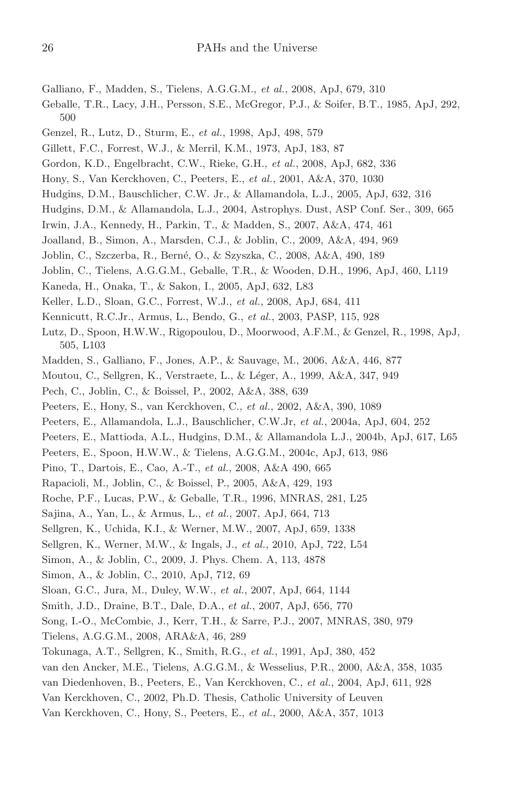- <span id="page-13-15"></span>Galliano, F., Madden, S., Tielens, A.G.G.M., *et al.*, 2008, ApJ, 679, 310
- <span id="page-13-1"></span>Geballe, T.R., Lacy, J.H., Persson, S.E., McGregor, P.J., & Soifer, B.T., 1985, ApJ, 292, 500
- <span id="page-13-35"></span>Genzel, R., Lutz, D., Sturm, E., *et al.*, 1998, ApJ, 498, 579
- <span id="page-13-0"></span>Gillett, F.C., Forrest, W.J., & Merril, K.M., 1973, ApJ, 183, 87
- <span id="page-13-18"></span>Gordon, K.D., Engelbracht, C.W., Rieke, G.H., *et al.*, 2008, ApJ, 682, 336
- <span id="page-13-13"></span>Hony, S., Van Kerckhoven, C., Peeters, E., *et al.*, 2001, A&A, 370, 1030
- <span id="page-13-28"></span>Hudgins, D.M., Bauschlicher, C.W. Jr., & Allamandola, L.J., 2005, ApJ, 632, 316
- <span id="page-13-33"></span>Hudgins, D.M., & Allamandola, L.J., 2004, Astrophys. Dust, ASP Conf. Ser., 309, 665
- <span id="page-13-12"></span>Irwin, J.A., Kennedy, H., Parkin, T., & Madden, S., 2007, A&A, 474, 461
- <span id="page-13-30"></span>Joalland, B., Simon, A., Marsden, C.J., & Joblin, C., 2009, A&A, 494, 969
- <span id="page-13-27"></span>Joblin, C., Szczerba, R., Bern´e, O., & Szyszka, C., 2008, A&A, 490, 189
- <span id="page-13-34"></span>Joblin, C., Tielens, A.G.G.M., Geballe, T.R., & Wooden, D.H., 1996, ApJ, 460, L119
- <span id="page-13-16"></span>Kaneda, H., Onaka, T., & Sakon, I., 2005, ApJ, 632, L83
- <span id="page-13-24"></span>Keller, L.D., Sloan, G.C., Forrest, W.J., *et al.*, 2008, ApJ, 684, 411
- <span id="page-13-5"></span>Kennicutt, R.C.Jr., Armus, L., Bendo, G., *et al.*, 2003, PASP, 115, 928
- <span id="page-13-36"></span>Lutz, D., Spoon, H.W.W., Rigopoulou, D., Moorwood, A.F.M., & Genzel, R., 1998, ApJ, 505, L103
- <span id="page-13-17"></span>Madden, S., Galliano, F., Jones, A.P., & Sauvage, M., 2006, A&A, 446, 877
- <span id="page-13-8"></span>Moutou, C., Sellgren, K., Verstraete, L., & Léger, A., 1999, A&A, 347, 949
- <span id="page-13-7"></span>Pech, C., Joblin, C., & Boissel, P., 2002, A&A, 388, 639
- <span id="page-13-20"></span>Peeters, E., Hony, S., van Kerckhoven, C., *et al.*, 2002, A&A, 390, 1089
- <span id="page-13-2"></span>Peeters, E., Allamandola, L.J., Bauschlicher, C.W.Jr, *et al.*, 2004a, ApJ, 604, 252
- <span id="page-13-10"></span>Peeters, E., Mattioda, A.L., Hudgins, D.M., & Allamandola L.J., 2004b, ApJ, 617, L65
- <span id="page-13-37"></span>Peeters, E., Spoon, H.W.W., & Tielens, A.G.G.M., 2004c, ApJ, 613, 986
- <span id="page-13-32"></span>Pino, T., Dartois, E., Cao, A.-T., *et al.*, 2008, A&A 490, 665
- <span id="page-13-26"></span>Rapacioli, M., Joblin, C., & Boissel, P., 2005, A&A, 429, 193
- <span id="page-13-6"></span>Roche, P.F., Lucas, P.W., & Geballe, T.R., 1996, MNRAS, 281, L25
- <span id="page-13-38"></span>Sajina, A., Yan, L., & Armus, L., *et al.*, 2007, ApJ, 664, 713
- <span id="page-13-3"></span>Sellgren, K., Uchida, K.I., & Werner, M.W., 2007, ApJ, 659, 1338
- <span id="page-13-4"></span>Sellgren, K., Werner, M.W., & Ingals, J., *et al.*, 2010, ApJ, 722, L54
- <span id="page-13-31"></span>Simon, A., & Joblin, C., 2009, J. Phys. Chem. A, 113, 4878
- <span id="page-13-29"></span>Simon, A., & Joblin, C., 2010, ApJ, 712, 69
- <span id="page-13-23"></span>Sloan, G.C., Jura, M., Duley, W.W., *et al.*, 2007, ApJ, 664, 1144
- <span id="page-13-11"></span>Smith, J.D., Draine, B.T., Dale, D.A., *et al.*, 2007, ApJ, 656, 770
- <span id="page-13-25"></span>Song, I.-O., McCombie, J., Kerr, T.H., & Sarre, P.J., 2007, MNRAS, 380, 979
- <span id="page-13-14"></span>Tielens, A.G.G.M., 2008, ARA&A, 46, 289
- <span id="page-13-19"></span>Tokunaga, A.T., Sellgren, K., Smith, R.G., *et al.*, 1991, ApJ, 380, 452
- <span id="page-13-9"></span>van den Ancker, M.E., Tielens, A.G.G.M., & Wesselius, P.R., 2000, A&A, 358, 1035
- <span id="page-13-21"></span>van Diedenhoven, B., Peeters, E., Van Kerckhoven, C., *et al.*, 2004, ApJ, 611, 928
- <span id="page-13-22"></span>Van Kerckhoven, C., 2002, Ph.D. Thesis, Catholic University of Leuven
- Van Kerckhoven, C., Hony, S., Peeters, E., *et al.*, 2000, A&A, 357, 1013